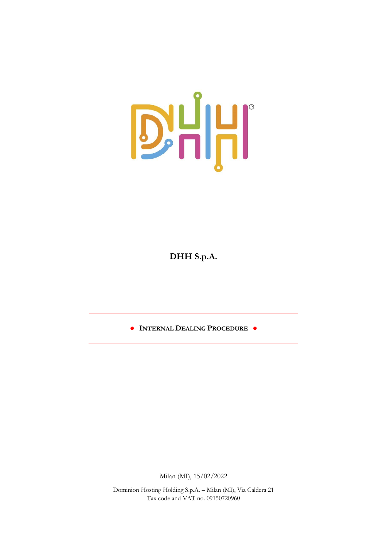

**DHH S.p.A.**

**● INTERNAL DEALING PROCEDURE ●**

Milan (MI), 15/02/2022

Dominion Hosting Holding S.p.A. – Milan (MI), Via Caldera 21 Tax code and VAT no. 09150720960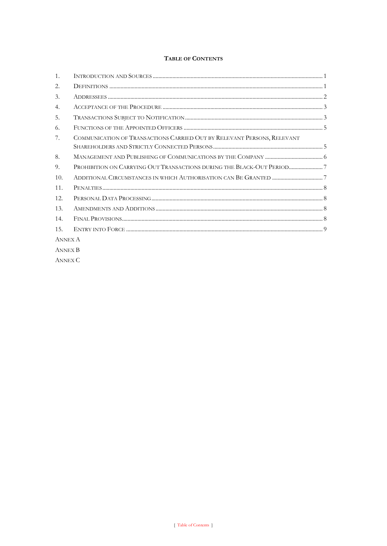# TABLE OF CONTENTS

| 1.             |                                                                         |  |
|----------------|-------------------------------------------------------------------------|--|
| 2.             |                                                                         |  |
| 3.             |                                                                         |  |
| 4.             |                                                                         |  |
| 5.             |                                                                         |  |
| 6.             |                                                                         |  |
| 7.             | COMMUNICATION OF TRANSACTIONS CARRIED OUT BY RELEVANT PERSONS, RELEVANT |  |
| 8.             |                                                                         |  |
| 9.             | PROHIBITION ON CARRYING OUT TRANSACTIONS DURING THE BLACK-OUT PERIOD    |  |
| 10.            |                                                                         |  |
| 11.            |                                                                         |  |
| 12.            |                                                                         |  |
| 13.            |                                                                         |  |
| 14.            |                                                                         |  |
| 15.            |                                                                         |  |
| <b>ANNEX A</b> |                                                                         |  |
| <b>ANNEX B</b> |                                                                         |  |

**ANNEX C**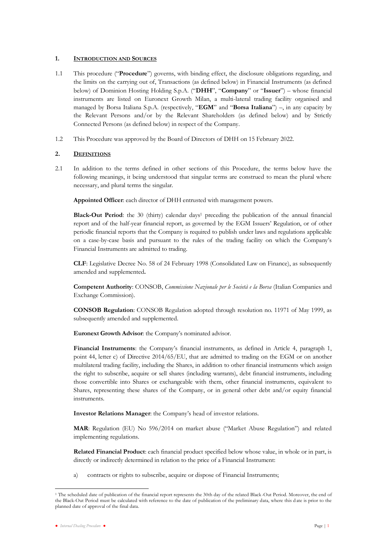## <span id="page-2-0"></span>**1. INTRODUCTION AND SOURCES**

- 1.1 This procedure ("**Procedure**") governs, with binding effect, the disclosure obligations regarding, and the limits on the carrying out of, Transactions (as defined below) in Financial Instruments (as defined below) of Dominion Hosting Holding S.p.A. ("**DHH**", "**Company**" or "**Issuer**") – whose financial instruments are listed on Euronext Growth Milan, a multi-lateral trading facility organised and managed by Borsa Italiana S.p.A. (respectively, "**EGM**" and "**Borsa Italiana**") –, in any capacity by the Relevant Persons and/or by the Relevant Shareholders (as defined below) and by Strictly Connected Persons (as defined below) in respect of the Company.
- 1.2 This Procedure was approved by the Board of Directors of DHH on 15 February 2022.

## **2. DEFINITIONS**

2.1 In addition to the terms defined in other sections of this Procedure, the terms below have the following meanings, it being understood that singular terms are construed to mean the plural where necessary, and plural terms the singular.

**Appointed Officer**: each director of DHH entrusted with management powers.

**Black-Out Period**: the 30 (thirty) calendar days<sup>1</sup> preceding the publication of the annual financial report and of the half-year financial report, as governed by the EGM Issuers' Regulation, or of other periodic financial reports that the Company is required to publish under laws and regulations applicable on a case-by-case basis and pursuant to the rules of the trading facility on which the Company's Financial Instruments are admitted to trading.

**CLF**: Legislative Decree No. 58 of 24 February 1998 (Consolidated Law on Finance), as subsequently amended and supplemented**.** 

**Competent Authority**: CONSOB, *Commissione Nazionale per le Società e la Borsa* (Italian Companies and Exchange Commission).

**CONSOB Regulation**: CONSOB Regulation adopted through resolution no. 11971 of May 1999, as subsequently amended and supplemented.

**Euronext Growth Advisor**: the Company's nominated advisor.

**Financial Instruments**: the Company's financial instruments, as defined in Article 4, paragraph 1, point 44, letter c) of Directive 2014/65/EU, that are admitted to trading on the EGM or on another multilateral trading facility, including the Shares, in addition to other financial instruments which assign the right to subscribe, acquire or sell shares (including warrants), debt financial instruments, including those convertible into Shares or exchangeable with them, other financial instruments, equivalent to Shares, representing these shares of the Company, or in general other debt and/or equity financial instruments.

**Investor Relations Manager**: the Company's head of investor relations.

**MAR**: Regulation (EU) No 596/2014 on market abuse ("Market Abuse Regulation") and related implementing regulations.

**Related Financial Product**: each financial product specified below whose value, in whole or in part, is directly or indirectly determined in relation to the price of a Financial Instrument:

a) contracts or rights to subscribe, acquire or dispose of Financial Instruments;

<sup>&</sup>lt;sup>1</sup> The scheduled date of publication of the financial report represents the 30th day of the related Black-Out Period. Moreover, the end of the Black-Out Period must be calculated with reference to the date of publication of the preliminary data, where this d ate is prior to the planned date of approval of the final data.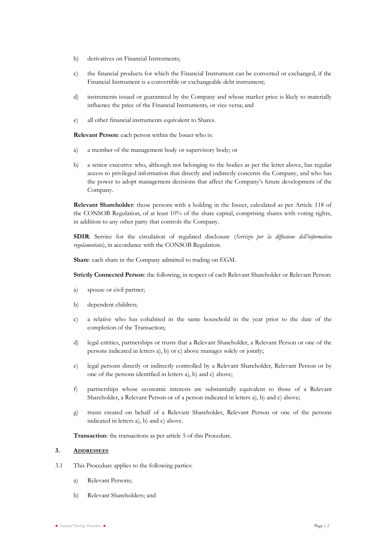- b) derivatives on Financial Instruments;
- c) the financial products for which the Financial Instrument can be converted or exchanged, if the Financial Instrument is a convertible or exchangeable debt instrument;
- d) instruments issued or guaranteed by the Company and whose market price is likely to materially influence the price of the Financial Instruments, or vice versa; and
- e) all other financial instruments equivalent to Shares.

**Relevant Person**: each person within the Issuer who is:

- a) a member of the management body or supervisory body; or
- b) a senior executive who, although not belonging to the bodies as per the letter above, has regular access to privileged information that directly and indirectly concerns the Company, and who has the power to adopt management decisions that affect the Company's future development of the Company.

**Relevant Shareholder**: those persons with a holding in the Issuer, calculated as per Article 118 of the CONSOB Regulation, of at least 10% of the share capital, comprising shares with voting rights, in addition to any other party that controls the Company.

**SDIR**: Service for the circulation of regulated disclosure (*Servizio per la diffusione dell'informativa regolamentata*), in accordance with the CONSOB Regulation.

**Share**: each share in the Company admitted to trading on EGM.

**Strictly Connected Person**: the following, in respect of each Relevant Shareholder or Relevant Person:

- a) spouse or civil partner;
- b) dependent children;
- c) a relative who has cohabited in the same household in the year prior to the date of the completion of the Transaction;
- d) legal entities, partnerships or trusts that a Relevant Shareholder, a Relevant Person or one of the persons indicated in letters a), b) or c) above manages solely or jointly;
- e) legal persons directly or indirectly controlled by a Relevant Shareholder, Relevant Person or by one of the persons identified in letters a), b) and c) above;
- f) partnerships whose economic interests are substantially equivalent to those of a Relevant Shareholder, a Relevant Person or of a person indicated in letters a), b) and c) above;
- g) trusts created on behalf of a Relevant Shareholder, Relevant Person or one of the persons indicated in letters a), b) and c) above.

**Transaction**: the transactions as per article [5](#page-4-1) of this Procedure.

## **3. ADDRESSEES**

- 3.1 This Procedure applies to the following parties:
	- a) Relevant Persons;
	- b) Relevant Shareholders; and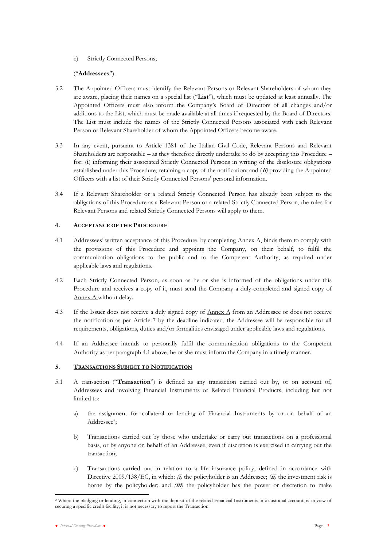c) Strictly Connected Persons;

## ("**Addressees**").

- 3.2 The Appointed Officers must identify the Relevant Persons or Relevant Shareholders of whom they are aware, placing their names on a special list ("**List**"), which must be updated at least annually. The Appointed Officers must also inform the Company's Board of Directors of all changes and/or additions to the List, which must be made available at all times if requested by the Board of Directors. The List must include the names of the Strictly Connected Persons associated with each Relevant Person or Relevant Shareholder of whom the Appointed Officers become aware.
- 3.3 In any event, pursuant to Article 1381 of the Italian Civil Code, Relevant Persons and Relevant Shareholders are responsible – as they therefore directly undertake to do by accepting this Procedure – for: (**i**) informing their associated Strictly Connected Persons in writing of the disclosure obligations established under this Procedure, retaining a copy of the notification; and (**ii***)* providing the Appointed Officers with a list of their Strictly Connected Persons' personal information.
- 3.4 If a Relevant Shareholder or a related Strictly Connected Person has already been subject to the obligations of this Procedure as a Relevant Person or a related Strictly Connected Person, the rules for Relevant Persons and related Strictly Connected Persons will apply to them.

## <span id="page-4-0"></span>**4. ACCEPTANCE OF THE PROCEDURE**

- 4.1 Addressees' written acceptance of this Procedure, by completing Annex A, binds them to comply with the provisions of this Procedure and appoints the Company, on their behalf, to fulfil the communication obligations to the public and to the Competent Authority, as required under applicable laws and regulations.
- 4.2 Each Strictly Connected Person, as soon as he or she is informed of the obligations under this Procedure and receives a copy of it, must send the Company a duly-completed and signed copy of Annex A without delay.
- 4.3 If the Issuer does not receive a duly signed copy of Annex A from an Addressee or does not receive the notification as per Article 7 by the deadline indicated, the Addressee will be responsible for all requirements, obligations, duties and/or formalities envisaged under applicable laws and regulations.
- 4.4 If an Addressee intends to personally fulfil the communication obligations to the Competent Authority as per paragraph 4.1 above, he or she must inform the Company in a timely manner.

## <span id="page-4-1"></span>**5. TRANSACTIONS SUBJECT TO NOTIFICATION**

- 5.1 A transaction ("**Transaction**") is defined as any transaction carried out by, or on account of, Addressees and involving Financial Instruments or Related Financial Products, including but not limited to:
	- a) the assignment for collateral or lending of Financial Instruments by or on behalf of an Addressee<sup>2</sup>;
	- b) Transactions carried out by those who undertake or carry out transactions on a professional basis, or by anyone on behalf of an Addressee, even if discretion is exercised in carrying out the transaction;
	- c) Transactions carried out in relation to a life insurance policy, defined in accordance with Directive 2009/138/EC, in which: *(***i***)* the policyholder is an Addressee; *(***ii***)* the investment risk is borne by the policyholder; and *(***iii***)* the policyholder has the power or discretion to make

<sup>&</sup>lt;sup>2</sup> Where the pledging or lending, in connection with the deposit of the related Financial Instruments in a custodial account, is in view of securing a specific credit facility, it is not necessary to report the Transaction.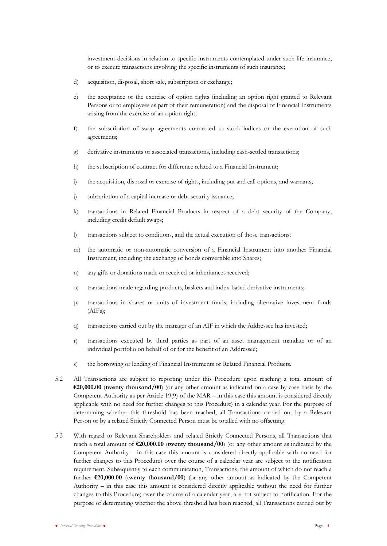investment decisions in relation to specific instruments contemplated under such life insurance, or to execute transactions involving the specific instruments of such insurance;

- d) acquisition, disposal, short sale, subscription or exchange;
- e) the acceptance or the exercise of option rights (including an option right granted to Relevant Persons or to employees as part of their remuneration) and the disposal of Financial Instruments arising from the exercise of an option right;
- f) the subscription of swap agreements connected to stock indices or the execution of such agreements;
- g) derivative instruments or associated transactions, including cash-settled transactions;
- h) the subscription of contract for difference related to a Financial Instrument;
- i) the acquisition, disposal or exercise of rights, including put and call options, and warrants;
- j) subscription of a capital increase or debt security issuance;
- k) transactions in Related Financial Products in respect of a debt security of the Company, including credit default swaps;
- l) transactions subject to conditions, and the actual execution of those transactions;
- m) the automatic or non-automatic conversion of a Financial Instrument into another Financial Instrument, including the exchange of bonds convertible into Shares;
- n) any gifts or donations made or received or inheritances received;
- o) transactions made regarding products, baskets and index-based derivative instruments;
- p) transactions in shares or units of investment funds, including alternative investment funds (AIFs);
- q) transactions carried out by the manager of an AIF in which the Addressee has invested;
- r) transactions executed by third parties as part of an asset management mandate or of an individual portfolio on behalf of or for the benefit of an Addressee;
- s) the borrowing or lending of Financial Instruments or Related Financial Products.
- 5.2 All Transactions are subject to reporting under this Procedure upon reaching a total amount of **€20,000.00** (**twenty thousand/00**) (or any other amount as indicated on a case-by-case basis by the Competent Authority as per Article 19(9) of the MAR – in this case this amount is considered directly applicable with no need for further changes to this Procedure) in a calendar year. For the purpose of determining whether this threshold has been reached, all Transactions carried out by a Relevant Person or by a related Strictly Connected Person must be totalled with no offsetting.
- 5.3 With regard to Relevant Shareholders and related Strictly Connected Persons, all Transactions that reach a total amount of **€20,000.00** (**twenty thousand/00**) (or any other amount as indicated by the Competent Authority – in this case this amount is considered directly applicable with no need for further changes to this Procedure) over the course of a calendar year are subject to the notification requirement. Subsequently to each communication, Transactions, the amount of which do not reach a further **€20,000.00** (**twenty thousand/00**) (or any other amount as indicated by the Competent Authority – in this case this amount is considered directly applicable without the need for further changes to this Procedure) over the course of a calendar year, are not subject to notification. For the purpose of determining whether the above threshold has been reached, all Transactions carried out by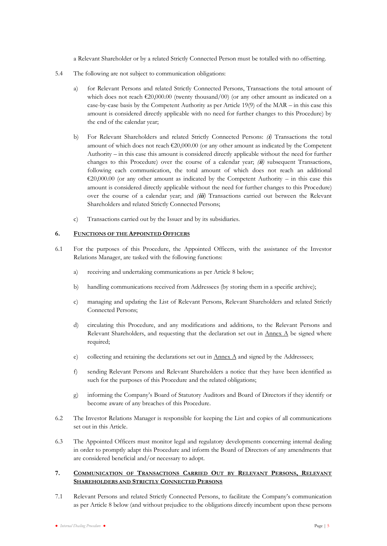a Relevant Shareholder or by a related Strictly Connected Person must be totalled with no offsetting.

- 5.4 The following are not subject to communication obligations:
	- a) for Relevant Persons and related Strictly Connected Persons, Transactions the total amount of which does not reach  $\epsilon$ 20,000.00 (twenty thousand/00) (or any other amount as indicated on a case-by-case basis by the Competent Authority as per Article 19(9) of the MAR – in this case this amount is considered directly applicable with no need for further changes to this Procedure) by the end of the calendar year;
	- b) For Relevant Shareholders and related Strictly Connected Persons: *(***i***)* Transactions the total amount of which does not reach  $\epsilon$ 20,000.00 (or any other amount as indicated by the Competent Authority – in this case this amount is considered directly applicable without the need for further changes to this Procedure) over the course of a calendar year; *(***ii***)* subsequent Transactions, following each communication, the total amount of which does not reach an additional  $\epsilon$ 20,000.00 (or any other amount as indicated by the Competent Authority – in this case this amount is considered directly applicable without the need for further changes to this Procedure) over the course of a calendar year; and *(***iii***)* Transactions carried out between the Relevant Shareholders and related Strictly Connected Persons;
	- c) Transactions carried out by the Issuer and by its subsidiaries.

## <span id="page-6-0"></span>**6. FUNCTIONS OF THE APPOINTED OFFICERS**

- 6.1 For the purposes of this Procedure, the Appointed Officers, with the assistance of the Investor Relations Manager, are tasked with the following functions:
	- a) receiving and undertaking communications as per Article [8](#page-7-0) below;
	- b) handling communications received from Addressees (by storing them in a specific archive);
	- c) managing and updating the List of Relevant Persons, Relevant Shareholders and related Strictly Connected Persons;
	- d) circulating this Procedure, and any modifications and additions, to the Relevant Persons and Relevant Shareholders, and requesting that the declaration set out in  $\Delta$  he signed where required;
	- e) collecting and retaining the declarations set out in  $\triangle$  and signed by the Addressees;
	- f) sending Relevant Persons and Relevant Shareholders a notice that they have been identified as such for the purposes of this Procedure and the related obligations;
	- g) informing the Company's Board of Statutory Auditors and Board of Directors if they identify or become aware of any breaches of this Procedure.
- 6.2 The Investor Relations Manager is responsible for keeping the List and copies of all communications set out in this Article.
- 6.3 The Appointed Officers must monitor legal and regulatory developments concerning internal dealing in order to promptly adapt this Procedure and inform the Board of Directors of any amendments that are considered beneficial and/or necessary to adopt.

# <span id="page-6-1"></span>**7. COMMUNICATION OF TRANSACTIONS CARRIED OUT BY RELEVANT PERSONS, RELEVANT SHAREHOLDERS AND STRICTLY CONNECTED PERSONS**

7.1 Relevant Persons and related Strictly Connected Persons, to facilitate the Company's communication as per Article 8 below (and without prejudice to the obligations directly incumbent upon these persons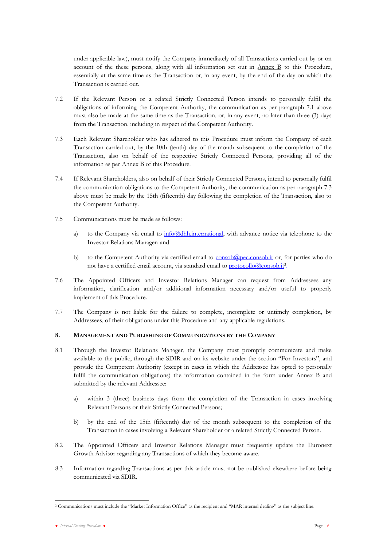under applicable law), must notify the Company immediately of all Transactions carried out by or on account of the these persons, along with all information set out in  $\Delta$ nnex  $\overline{B}$  to this Procedure, essentially at the same time as the Transaction or, in any event, by the end of the day on which the Transaction is carried out.

- 7.2 If the Relevant Person or a related Strictly Connected Person intends to personally fulfil the obligations of informing the Competent Authority, the communication as per paragraph 7.1 above must also be made at the same time as the Transaction, or, in any event, no later than three (3) days from the Transaction, including in respect of the Competent Authority.
- 7.3 Each Relevant Shareholder who has adhered to this Procedure must inform the Company of each Transaction carried out, by the 10th (tenth) day of the month subsequent to the completion of the Transaction, also on behalf of the respective Strictly Connected Persons, providing all of the information as per **Annex B** of this Procedure.
- 7.4 If Relevant Shareholders, also on behalf of their Strictly Connected Persons, intend to personally fulfil the communication obligations to the Competent Authority, the communication as per paragraph 7.3 above must be made by the 15th (fifteenth) day following the completion of the Transaction, also to the Competent Authority.
- 7.5 Communications must be made as follows:
	- a) to the Company via email to  $\frac{info(\partial\theta)$ thh.international, with advance notice via telephone to the Investor Relations Manager; and
	- b) to the Competent Authority via certified email to  $\frac{\text{consob}(\text{Qpec}.\text{consob}.\text{it})}{\text{Cerc}.\text{consob}.\text{it}}$  or, for parties who do not have a certified email account, via standard email to **protocollo@consob.it**3.
- 7.6 The Appointed Officers and Investor Relations Manager can request from Addressees any information, clarification and/or additional information necessary and/or useful to properly implement of this Procedure.
- 7.7 The Company is not liable for the failure to complete, incomplete or untimely completion, by Addressees, of their obligations under this Procedure and any applicable regulations.

## <span id="page-7-0"></span>**8. MANAGEMENT AND PUBLISHING OF COMMUNICATIONS BY THE COMPANY**

- 8.1 Through the Investor Relations Manager, the Company must promptly communicate and make available to the public, through the SDIR and on its website under the section "For Investors", and provide the Competent Authority (except in cases in which the Addressee has opted to personally fulfil the communication obligations) the information contained in the form under Annex B and submitted by the relevant Addressee:
	- a) within 3 (three) business days from the completion of the Transaction in cases involving Relevant Persons or their Strictly Connected Persons;
	- b) by the end of the 15th (fifteenth) day of the month subsequent to the completion of the Transaction in cases involving a Relevant Shareholder or a related Strictly Connected Person.
- 8.2 The Appointed Officers and Investor Relations Manager must frequently update the Euronext Growth Advisor regarding any Transactions of which they become aware.
- 8.3 Information regarding Transactions as per this article must not be published elsewhere before being communicated via SDIR.

<sup>3</sup> Communications must include the "Market Information Office" as the recipient and "MAR internal dealing" as the subject line.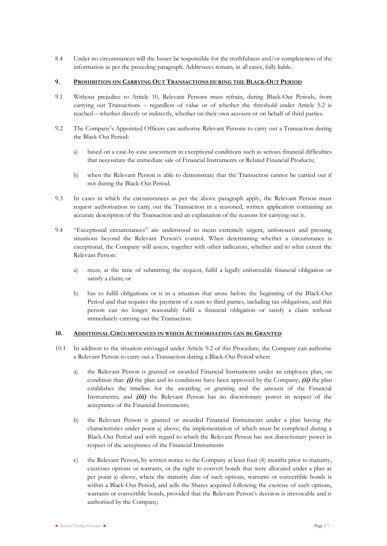8.4 Under no circumstances will the Issuer be responsible for the truthfulness and/or completeness of the information as per the preceding paragraph. Addressees remain, in all cases, fully liable.

## <span id="page-8-0"></span>**9. PROHIBITION ON CARRYING OUT TRANSACTIONS DURING THE BLACK-OUT PERIOD**

- 9.1 Without prejudice to Article 10, Relevant Persons must refrain, during Black-Out Periods, from carrying out Transactions – regardless of value or of whether the threshold under Article 5.2 is reached – whether directly or indirectly, whether on their own account or on behalf of third parties.
- <span id="page-8-2"></span>9.2 The Company's Appointed Officers can authorise Relevant Persons to carry out a Transaction during the Black-Out Period:
	- a) based on a case-by-case assessment in exceptional conditions such as serious financial difficulties that necessitate the immediate sale of Financial Instruments or Related Financial Products;
	- b) when the Relevant Person is able to demonstrate that the Transaction cannot be carried out if not during the Black-Out Period.
- 9.3 In cases in which the circumstances as per the above paragraph apply, the Relevant Person must request authorisation to carry out the Transaction in a reasoned, written application containing an accurate description of the Transaction and an explanation of the reasons for carrying out it.
- 9.4 "Exceptional circumstances" are understood to mean extremely urgent, unforeseen and pressing situations beyond the Relevant Person's control. When determining whether a circumstance is exceptional, the Company will assess, together with other indicators, whether and to what extent the Relevant Person:
	- a) must, at the time of submitting the request, fulfil a legally enforceable financial obligation or satisfy a claim; or
	- b) has to fulfil obligations or is in a situation that arose before the beginning of the Black-Out Period and that requires the payment of a sum to third parties, including tax obligations, and this person can no longer reasonably fulfil a financial obligation or satisfy a claim without immediately carrying out the Transaction.

#### <span id="page-8-1"></span>**10. ADDITIONAL CIRCUMSTANCES IN WHICH AUTHORISATION CAN BE GRANTED**

- 10.1 In addition to the situation envisaged under Article [9.2](#page-8-2) of this Procedure, the Company can authorise a Relevant Person to carry out a Transaction during a Black-Out Period when:
	- a) the Relevant Person is granted or awarded Financial Instruments under an employee plan, on condition that:  $(f)$  the plan and its conditions have been approved by the Company;  $f(\mathbf{i})$  the plan establishes the timeline for the awarding or granting and the amount of the Financial Instruments; and **(iii)** the Relevant Person has no discretionary power in respect of the acceptance of the Financial Instruments;
	- b) the Relevant Person is granted or awarded Financial Instruments under a plan having the characteristics under point a) above, the implementation of which must be completed during a Black-Out Period and with regard to which the Relevant Person has not discretionary power in respect of the acceptance of the Financial Instruments
	- c) the Relevant Person, by written notice to the Company at least four (4) months prior to maturity, exercises options or warrants, or the right to convert bonds that were allocated under a plan as per point a) above, where the maturity date of such options, warrants or convertible bonds is within a Black-Out Period, and sells the Shares acquired following the exercise of such options, warrants or convertible bonds, provided that the Relevant Person's decision is irrevocable and is authorised by the Company;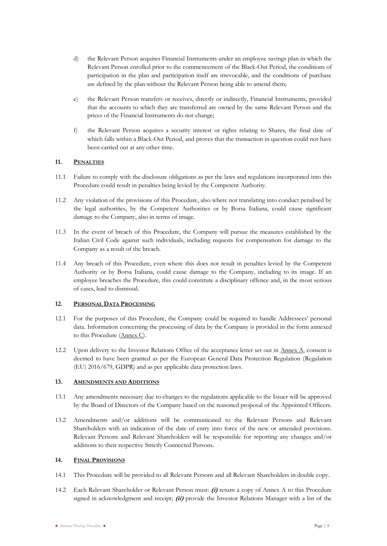- d) the Relevant Person acquires Financial Instruments under an employee savings plan in which the Relevant Person enrolled prior to the commencement of the Black-Out Period, the conditions of participation in the plan and participation itself are irrevocable, and the conditions of purchase are defined by the plan without the Relevant Person being able to amend them;
- e) the Relevant Person transfers or receives, directly or indirectly, Financial Instruments, provided that the accounts to which they are transferred are owned by the same Relevant Person and the prices of the Financial Instruments do not change;
- f) the Relevant Person acquires a security interest or rights relating to Shares, the final date of which falls within a Black-Out Period, and proves that the transaction in question could not have been carried out at any other time.

## **11. PENALTIES**

- 11.1 Failure to comply with the disclosure obligations as per the laws and regulations incorporated into this Procedure could result in penalties being levied by the Competent Authority.
- 11.2 Any violation of the provisions of this Procedure, also where not translating into conduct penalised by the legal authorities, by the Competent Authorities or by Borsa Italiana, could cause significant damage to the Company, also in terms of image.
- 11.3 In the event of breach of this Procedure, the Company will pursue the measures established by the Italian Civil Code against such individuals, including requests for compensation for damage to the Company as a result of the breach.
- 11.4 Any breach of this Procedure, even where this does not result in penalties levied by the Competent Authority or by Borsa Italiana, could cause damage to the Company, including to its image. If an employee breaches the Procedure, this could constitute a disciplinary offence and, in the most serious of cases, lead to dismissal.

## <span id="page-9-0"></span>**12. PERSONAL DATA PROCESSING**

- 12.1 For the purposes of this Procedure, the Company could be required to handle Addressees' personal data. Information concerning the processing of data by the Company is provided in the form annexed to this Procedure (Annex C).
- 12.2 Upon delivery to the Investor Relations Office of the acceptance letter set out in Annex A, consent is deemed to have been granted as per the European General Data Protection Regulation (Regulation (EU) 2016/679, GDPR) and as per applicable data protection laws.

## <span id="page-9-1"></span>**13. AMENDMENTS AND ADDITIONS**

- 13.1 Any amendments necessary due to changes to the regulations applicable to the Issuer will be approved by the Board of Directors of the Company based on the reasoned proposal of the Appointed Officers.
- 13.2 Amendments and/or additions will be communicated to the Relevant Persons and Relevant Shareholders with an indication of the date of entry into force of the new or amended provisions. Relevant Persons and Relevant Shareholders will be responsible for reporting any changes and/or additions to their respective Strictly Connected Persons.

## <span id="page-9-2"></span>**14. FINAL PROVISIONS**

- 14.1 This Procedure will be provided to all Relevant Persons and all Relevant Shareholders in double copy.
- 14.2 Each Relevant Shareholder or Relevant Person must: **(i)** return a copy of Annex A to this Procedure signed in acknowledgment and receipt; **(ii)** provide the Investor Relations Manager with a list of the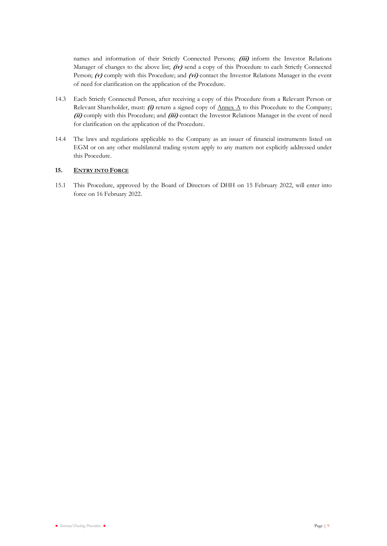names and information of their Strictly Connected Persons; **(iii)** inform the Investor Relations Manager of changes to the above list; **(iv)** send a copy of this Procedure to each Strictly Connected Person; **(v)** comply with this Procedure; and **(vi)** contact the Investor Relations Manager in the event of need for clarification on the application of the Procedure.

- 14.3 Each Strictly Connected Person, after receiving a copy of this Procedure from a Relevant Person or Relevant Shareholder, must: **(i)** return a signed copy of Annex A to this Procedure to the Company; **(ii)** comply with this Procedure; and **(iii)** contact the Investor Relations Manager in the event of need for clarification on the application of the Procedure.
- 14.4 The laws and regulations applicable to the Company as an issuer of financial instruments listed on EGM or on any other multilateral trading system apply to any matters not explicitly addressed under this Procedure.

## <span id="page-10-0"></span>15. **ENTRY INTO FORCE**

15.1 This Procedure, approved by the Board of Directors of DHH on 15 February 2022, will enter into force on 16 February 2022.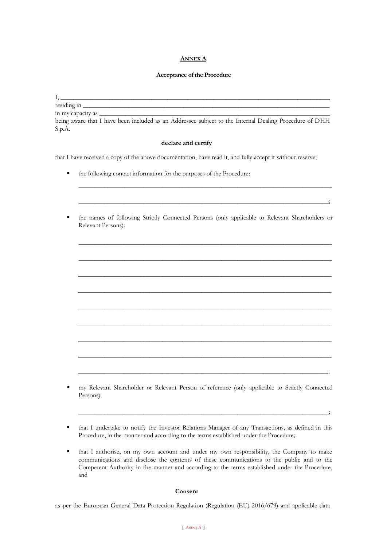## **ANNEX A**

## **Acceptance of the Procedure**

 $\mathrm{I},$ 

residing in

in my capacity as \_

being aware that I have been included as an Addressee subject to the Internal Dealing Procedure of DHH S.p.A.

#### **declare and certify**

that I have received a copy of the above documentation, have read it, and fully accept it without reserve;

- the following contact information for the purposes of the Procedure:
- the names of following Strictly Connected Persons (only applicable to Relevant Shareholders or Relevant Persons):

 $\_$  , and the set of the set of the set of the set of the set of the set of the set of the set of the set of the set of the set of the set of the set of the set of the set of the set of the set of the set of the set of th

\_\_\_\_\_\_\_\_\_\_\_\_\_\_\_\_\_\_\_\_\_\_\_\_\_\_\_\_\_\_\_\_\_\_\_\_\_\_\_\_\_\_\_\_\_\_\_\_\_\_\_\_\_\_\_\_\_\_\_\_\_\_\_\_\_\_\_\_\_\_\_\_\_\_\_\_\_\_

\_\_\_\_\_\_\_\_\_\_\_\_\_\_\_\_\_\_\_\_\_\_\_\_\_\_\_\_\_\_\_\_\_\_\_\_\_\_\_\_\_\_\_\_\_\_\_\_\_\_\_\_\_\_\_\_\_\_\_\_\_\_\_\_\_\_\_\_\_\_\_\_\_\_\_\_\_\_

\_\_\_\_\_\_\_\_\_\_\_\_\_\_\_\_\_\_\_\_\_\_\_\_\_\_\_\_\_\_\_\_\_\_\_\_\_\_\_\_\_\_\_\_\_\_\_\_\_\_\_\_\_\_\_\_\_\_\_\_\_\_\_\_\_\_\_\_\_\_\_\_\_\_\_\_\_\_

\_\_\_\_\_\_\_\_\_\_\_\_\_\_\_\_\_\_\_\_\_\_\_\_\_\_\_\_\_\_\_\_\_\_\_\_\_\_\_\_\_\_\_\_\_\_\_\_\_\_\_\_\_\_\_\_\_\_\_\_\_\_\_\_\_\_\_\_\_\_\_\_\_\_\_\_\_\_

\_\_\_\_\_\_\_\_\_\_\_\_\_\_\_\_\_\_\_\_\_\_\_\_\_\_\_\_\_\_\_\_\_\_\_\_\_\_\_\_\_\_\_\_\_\_\_\_\_\_\_\_\_\_\_\_\_\_\_\_\_\_\_\_\_\_\_\_\_\_\_\_\_\_\_\_\_\_

\_\_\_\_\_\_\_\_\_\_\_\_\_\_\_\_\_\_\_\_\_\_\_\_\_\_\_\_\_\_\_\_\_\_\_\_\_\_\_\_\_\_\_\_\_\_\_\_\_\_\_\_\_\_\_\_\_\_\_\_\_\_\_\_\_\_\_\_\_\_\_\_\_\_\_\_\_\_

\_\_\_\_\_\_\_\_\_\_\_\_\_\_\_\_\_\_\_\_\_\_\_\_\_\_\_\_\_\_\_\_\_\_\_\_\_\_\_\_\_\_\_\_\_\_\_\_\_\_\_\_\_\_\_\_\_\_\_\_\_\_\_\_\_\_\_\_\_\_\_\_\_\_\_\_\_\_

\_\_\_\_\_\_\_\_\_\_\_\_\_\_\_\_\_\_\_\_\_\_\_\_\_\_\_\_\_\_\_\_\_\_\_\_\_\_\_\_\_\_\_\_\_\_\_\_\_\_\_\_\_\_\_\_\_\_\_\_\_\_\_\_\_\_\_\_\_\_\_\_\_\_\_\_\_;

\_\_\_\_\_\_\_\_\_\_\_\_\_\_\_\_\_\_\_\_\_\_\_\_\_\_\_\_\_\_\_\_\_\_\_\_\_\_\_\_\_\_\_\_\_\_\_\_\_\_\_\_\_\_\_\_\_\_\_\_\_\_\_\_\_\_\_\_\_\_\_\_\_\_\_\_\_;

\_\_\_\_\_\_\_\_\_\_\_\_\_\_\_\_\_\_\_\_\_\_\_\_\_\_\_\_\_\_\_\_\_\_\_\_\_\_\_\_\_\_\_\_\_\_\_\_\_\_\_\_\_\_\_\_\_\_\_\_\_\_\_\_\_\_\_\_\_\_\_\_\_\_\_\_\_\_

\_\_\_\_\_\_\_\_\_\_\_\_\_\_\_\_\_\_\_\_\_\_\_\_\_\_\_\_\_\_\_\_\_\_\_\_\_\_\_\_\_\_\_\_\_\_\_\_\_\_\_\_\_\_\_\_\_\_\_\_\_\_\_\_\_\_\_\_\_\_\_\_\_\_\_\_\_;

- my Relevant Shareholder or Relevant Person of reference (only applicable to Strictly Connected Persons):
- that I undertake to notify the Investor Relations Manager of any Transactions, as defined in this Procedure, in the manner and according to the terms established under the Procedure;
- that I authorise, on my own account and under my own responsibility, the Company to make communications and disclose the contents of these communications to the public and to the Competent Authority in the manner and according to the terms established under the Procedure, and

#### **Consent**

as per the European General Data Protection Regulation (Regulation (EU) 2016/679) and applicable data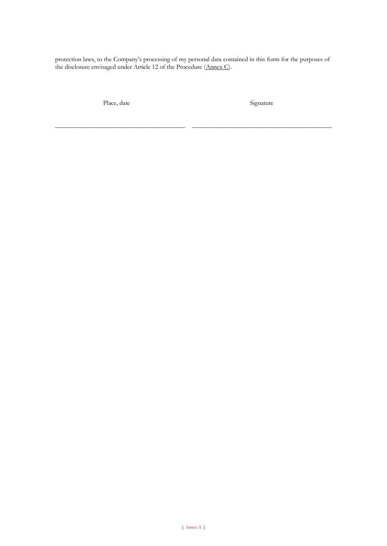protection laws, to the Company's processing of my personal data contained in this form for the purposes of the disclosure envisaged under Article 12 of the Procedure (Annex C).

Place, date

\_\_\_\_\_\_\_\_\_\_\_\_\_\_\_\_\_\_\_\_\_\_\_\_\_\_\_\_\_\_\_\_\_\_\_\_\_\_\_\_

Signature

\_\_\_\_\_\_\_\_\_\_\_\_\_\_\_\_\_\_\_\_\_\_\_\_\_\_\_\_\_\_\_\_\_\_\_\_\_\_\_\_\_\_\_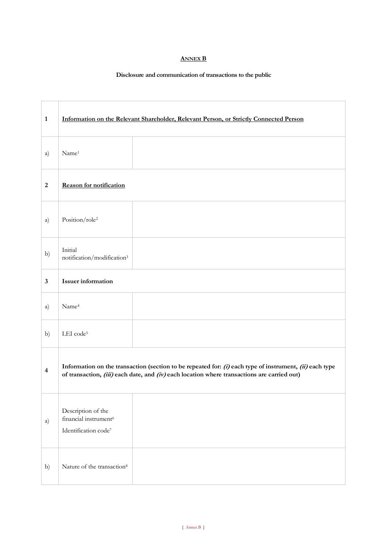# **ANNEX B**

# **Disclosure and communication of transactions to the public**

| $\mathbf{1}$            | Information on the Relevant Shareholder, Relevant Person, or Strictly Connected Person                                                                                                                 |  |  |
|-------------------------|--------------------------------------------------------------------------------------------------------------------------------------------------------------------------------------------------------|--|--|
| a)                      | Name <sup>1</sup>                                                                                                                                                                                      |  |  |
| $\boldsymbol{2}$        | <b>Reason for notification</b>                                                                                                                                                                         |  |  |
| a)                      | Position/role <sup>2</sup>                                                                                                                                                                             |  |  |
| b)                      | Initial<br>notification/modification3                                                                                                                                                                  |  |  |
| $\mathbf{3}$            | <b>Issuer</b> information                                                                                                                                                                              |  |  |
| a)                      | Name <sup>4</sup>                                                                                                                                                                                      |  |  |
| b)                      | LEI code <sup>5</sup>                                                                                                                                                                                  |  |  |
| $\overline{\mathbf{4}}$ | Information on the transaction (section to be repeated for: (i) each type of instrument, (ii) each type<br>of transaction, (iii) each date, and (iv) each location where transactions are carried out) |  |  |
| a)                      | Description of the<br>financial instrument <sup>6</sup><br>Identification code <sup>7</sup>                                                                                                            |  |  |
| b)                      | Nature of the transaction <sup>8</sup>                                                                                                                                                                 |  |  |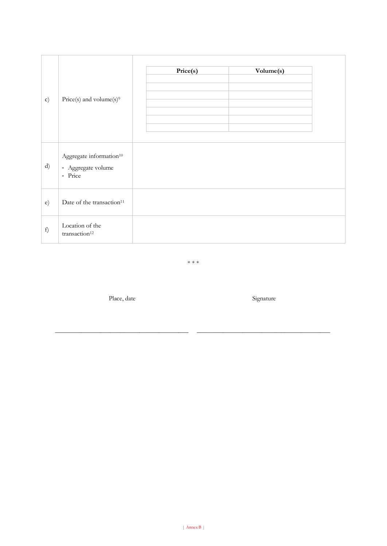| $\mathbf{c})$ | Price(s) and volume(s) <sup>9</sup>                                  | Price(s) | Volume(s) |
|---------------|----------------------------------------------------------------------|----------|-----------|
| d)            | Aggregate information <sup>10</sup><br>- Aggregate volume<br>- Price |          |           |
| e)            | Date of the transaction <sup>11</sup>                                |          |           |
| f)            | Location of the<br>transaction <sup>12</sup>                         |          |           |

\* \* \*

Place, date

\_\_\_\_\_\_\_\_\_\_\_\_\_\_\_\_\_\_\_\_\_\_\_\_\_\_\_\_\_\_\_\_\_\_\_\_\_\_\_\_\_

Signature

\_\_\_\_\_\_\_\_\_\_\_\_\_\_\_\_\_\_\_\_\_\_\_\_\_\_\_\_\_\_\_\_\_\_\_\_\_\_\_\_\_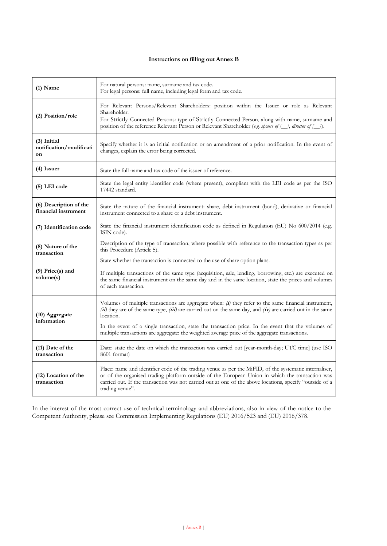# **Instructions on filling out Annex B**

| $(1)$ Name                                     | For natural persons: name, surname and tax code.<br>For legal persons: full name, including legal form and tax code.                                                                                                                                                                                                                        |  |  |
|------------------------------------------------|---------------------------------------------------------------------------------------------------------------------------------------------------------------------------------------------------------------------------------------------------------------------------------------------------------------------------------------------|--|--|
| (2) Position/role                              | For Relevant Persons/Relevant Shareholders: position within the Issuer or role as Relevant<br>Shareholder.<br>For Strictly Connected Persons: type of Strictly Connected Person, along with name, surname and<br>position of the reference Relevant Person or Relevant Shareholder (e.g. spouse of [ <i>_]</i> , director of [ <i>_]</i> ). |  |  |
| $(3)$ Initial<br>notification/modificati<br>on | Specify whether it is an initial notification or an amendment of a prior notification. In the event of<br>changes, explain the error being corrected.                                                                                                                                                                                       |  |  |
| $(4)$ Issuer                                   | State the full name and tax code of the issuer of reference.                                                                                                                                                                                                                                                                                |  |  |
| (5) LEI code                                   | State the legal entity identifier code (where present), compliant with the LEI code as per the ISO<br>17442 standard.                                                                                                                                                                                                                       |  |  |
| (6) Description of the<br>financial instrument | State the nature of the financial instrument: share, debt instrument (bond), derivative or financial<br>instrument connected to a share or a debt instrument.                                                                                                                                                                               |  |  |
| (7) Identification code                        | State the financial instrument identification code as defined in Regulation (EU) No 600/2014 (e.g.<br>ISIN code).                                                                                                                                                                                                                           |  |  |
| (8) Nature of the<br>transaction               | Description of the type of transaction, where possible with reference to the transaction types as per<br>this Procedure (Article 5).                                                                                                                                                                                                        |  |  |
| $(9)$ Price $(s)$ and<br>volume(s)             | State whether the transaction is connected to the use of share option plans.<br>If multiple transactions of the same type (acquisition, sale, lending, borrowing, etc.) are executed on<br>the same financial instrument on the same day and in the same location, state the prices and volumes<br>of each transaction.                     |  |  |
| (10) Aggregate<br>information                  | Volumes of multiple transactions are aggregate when: $(i)$ they refer to the same financial instrument,<br>(ii) they are of the same type, (iii) are carried out on the same day, and (iv) are carried out in the same<br>location.                                                                                                         |  |  |
|                                                | In the event of a single transaction, state the transaction price. In the event that the volumes of<br>multiple transactions are aggregate: the weighted average price of the aggregate transactions.                                                                                                                                       |  |  |
| $(11)$ Date of the<br>transaction              | Date: state the date on which the transaction was carried out [year-month-day; UTC time] (use ISO<br>8601 format)                                                                                                                                                                                                                           |  |  |
| (12) Location of the<br>transaction            | Place: name and identifier code of the trading venue as per the MiFID, of the systematic internaliser,<br>or of the organised trading platform outside of the European Union in which the transaction was<br>carried out. If the transaction was not carried out at one of the above locations, specify "outside of a<br>trading venue".    |  |  |

In the interest of the most correct use of technical terminology and abbreviations, also in view of the notice to the Competent Authority, please see Commission Implementing Regulations (EU) 2016/523 and (EU) 2016/378.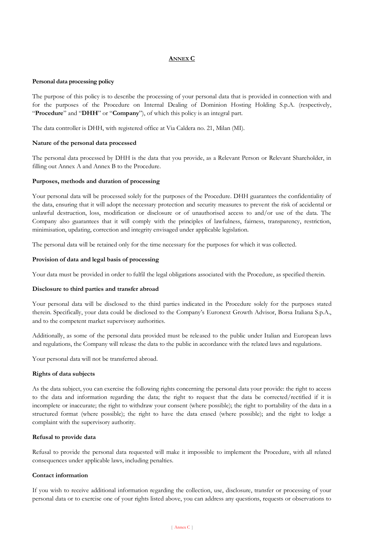# **ANNEX C**

## **Personal data processing policy**

The purpose of this policy is to describe the processing of your personal data that is provided in connection with and for the purposes of the Procedure on Internal Dealing of Dominion Hosting Holding S.p.A. (respectively, "**Procedure**" and "**DHH**" or "**Company**"), of which this policy is an integral part.

The data controller is DHH, with registered office at Via Caldera no. 21, Milan (MI).

## **Nature of the personal data processed**

The personal data processed by DHH is the data that you provide, as a Relevant Person or Relevant Shareholder, in filling out Annex A and Annex B to the Procedure.

## **Purposes, methods and duration of processing**

Your personal data will be processed solely for the purposes of the Procedure. DHH guarantees the confidentiality of the data, ensuring that it will adopt the necessary protection and security measures to prevent the risk of accidental or unlawful destruction, loss, modification or disclosure or of unauthorised access to and/or use of the data. The Company also guarantees that it will comply with the principles of lawfulness, fairness, transparency, restriction, minimisation, updating, correction and integrity envisaged under applicable legislation.

The personal data will be retained only for the time necessary for the purposes for which it was collected.

## **Provision of data and legal basis of processing**

Your data must be provided in order to fulfil the legal obligations associated with the Procedure, as specified therein.

#### **Disclosure to third parties and transfer abroad**

Your personal data will be disclosed to the third parties indicated in the Procedure solely for the purposes stated therein. Specifically, your data could be disclosed to the Company's Euronext Growth Advisor, Borsa Italiana S.p.A., and to the competent market supervisory authorities.

Additionally, as some of the personal data provided must be released to the public under Italian and European laws and regulations, the Company will release the data to the public in accordance with the related laws and regulations.

Your personal data will not be transferred abroad.

#### **Rights of data subjects**

As the data subject, you can exercise the following rights concerning the personal data your provide: the right to access to the data and information regarding the data; the right to request that the data be corrected/rectified if it is incomplete or inaccurate; the right to withdraw your consent (where possible); the right to portability of the data in a structured format (where possible); the right to have the data erased (where possible); and the right to lodge a complaint with the supervisory authority.

## **Refusal to provide data**

Refusal to provide the personal data requested will make it impossible to implement the Procedure, with all related consequences under applicable laws, including penalties.

## **Contact information**

If you wish to receive additional information regarding the collection, use, disclosure, transfer or processing of your personal data or to exercise one of your rights listed above, you can address any questions, requests or observations to